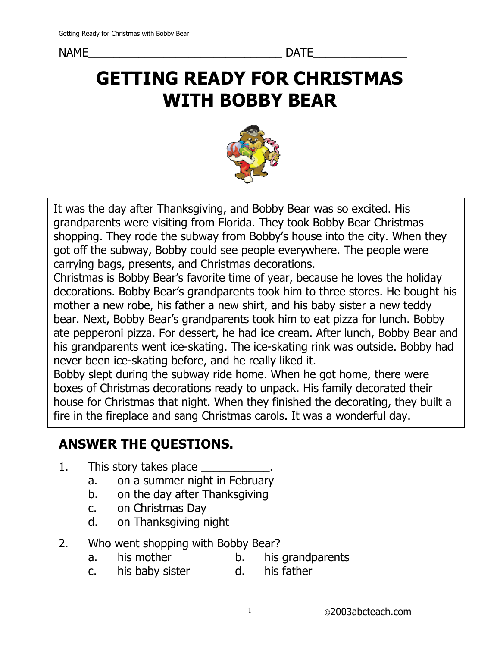NAME\_\_\_\_\_\_\_\_\_\_\_\_\_\_\_\_\_\_\_\_\_\_\_\_\_\_\_\_\_\_\_ DATE\_\_\_\_\_\_\_\_\_\_\_\_\_\_\_

# GETTING READY FOR CHRISTMAS WITH BOBBY BEAR



It was the day after Thanksgiving, and Bobby Bear was so excited. His grandparents were visiting from Florida. They took Bobby Bear Christmas shopping. They rode the subway from Bobby's house into the city. When they got off the subway, Bobby could see people everywhere. The people were carrying bags, presents, and Christmas decorations.

Christmas is Bobby Bear's favorite time of year, because he loves the holiday decorations. Bobby Bear's grandparents took him to three stores. He bought his mother a new robe, his father a new shirt, and his baby sister a new teddy bear. Next, Bobby Bear's grandparents took him to eat pizza for lunch. Bobby ate pepperoni pizza. For dessert, he had ice cream. After lunch, Bobby Bear and his grandparents went ice-skating. The ice-skating rink was outside. Bobby had never been ice-skating before, and he really liked it.

Bobby slept during the subway ride home. When he got home, there were boxes of Christmas decorations ready to unpack. His family decorated their house for Christmas that night. When they finished the decorating, they built a fire in the fireplace and sang Christmas carols. It was a wonderful day.

## ANSWER THE QUESTIONS.

- 1. This story takes place **with the story takes** 
	- a. on a summer night in February<br>b. on the day after Thanksgiving
	- on the day after Thanksgiving
	- c. on Christmas Day
	- d. on Thanksgiving night
- 2. Who went shopping with Bobby Bear?
	- a. his mother b. his grandparents
	- c. his baby sister d. his father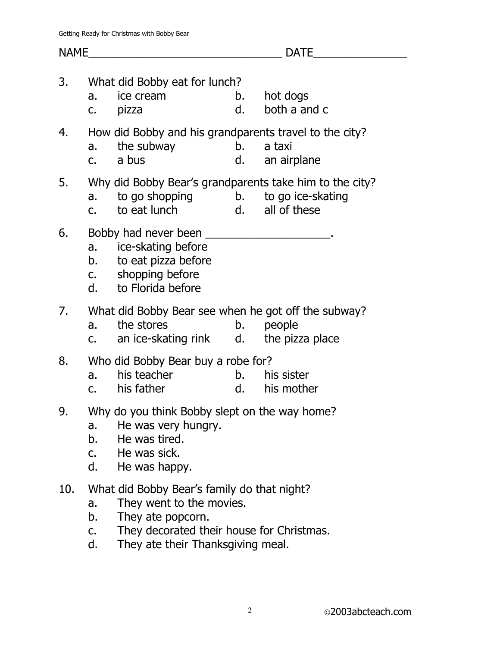| <b>NAME</b> |                                 |                                                                                                                                           | <b>DATE</b> |                                |  |  |  |
|-------------|---------------------------------|-------------------------------------------------------------------------------------------------------------------------------------------|-------------|--------------------------------|--|--|--|
| 3.          | a.                              | What did Bobby eat for lunch?<br>ice cream<br>c. pizza                                                                                    | d.          | b. hot dogs<br>both a and c    |  |  |  |
| 4.          |                                 | How did Bobby and his grandparents travel to the city?<br>a. the subway<br>c. a bus                                                       |             | b. a taxi<br>d. an airplane    |  |  |  |
| 5.          |                                 | Why did Bobby Bear's grandparents take him to the city?<br>a. to go shopping b. to go ice-skating<br>c. to eat lunch d. all of these      |             |                                |  |  |  |
| 6.          |                                 | a. ice-skating before<br>b. to eat pizza before<br>c. shopping before<br>d. to Florida before                                             |             |                                |  |  |  |
| 7.          |                                 | What did Bobby Bear see when he got off the subway?<br>a. the stores<br>c. an ice-skating rink d. the pizza place                         |             | b. people                      |  |  |  |
| 8.          |                                 | Who did Bobby Bear buy a robe for?<br>a. his teacher<br>c. his father                                                                     |             | b. his sister<br>d. his mother |  |  |  |
| 9.          | a.<br>b.<br>$C_{\bullet}$<br>d. | Why do you think Bobby slept on the way home?<br>He was very hungry.<br>He was tired.<br>He was sick.<br>He was happy.                    |             |                                |  |  |  |
| 10.         | a.<br>b.<br>C.                  | What did Bobby Bear's family do that night?<br>They went to the movies.<br>They ate popcorn.<br>They decorated their house for Christmas. |             |                                |  |  |  |

d. They ate their Thanksgiving meal.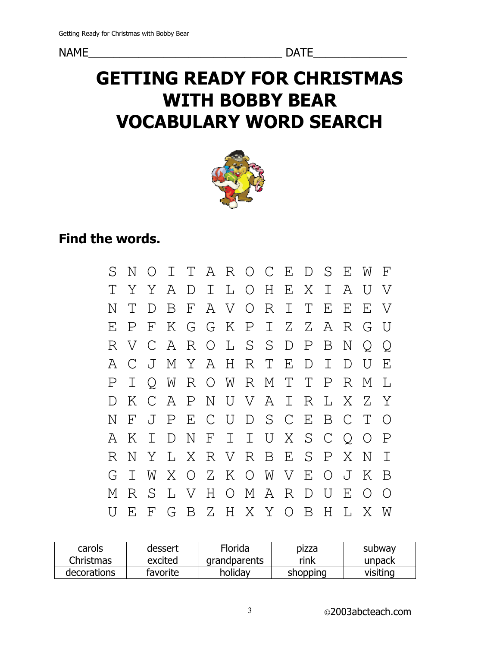## GETTING READY FOR CHRISTMAS WITH BOBBY BEAR VOCABULARY WORD SEARCH



## Find the words.

| $\mathcal{S}$ | N           | $\bigcirc$     |   |             | I T A R O C E D S E W   |  |                 |        |                |                 |                | $\mathbf F$    |
|---------------|-------------|----------------|---|-------------|-------------------------|--|-----------------|--------|----------------|-----------------|----------------|----------------|
|               |             | Y Y            |   |             | A D I L O H E X I       |  |                 |        |                | $\mathcal{A}$   | $\overline{U}$ | $\overline{V}$ |
| Ν             |             | $\Gamma$       |   |             | B F A V O R I           |  |                 | $\top$ | E              | E               | E              | $\rm {V}$      |
| F.            | P           |                |   |             | F K G G K P I Z Z A R G |  |                 |        |                |                 |                | U              |
| R             | V C         |                |   |             | A R O L S S D P         |  |                 |        | $\mathbf{B}$   | $\mathbf N$     | $\bigcirc$     | $\bigcirc$     |
| $A^{\dagger}$ |             | C J            |   |             | M Y A H R T             |  | $-E$            | D.     | $\mathbf{T}$   | D.              | U              | $F_{1}$        |
|               | $\mathbf T$ |                |   |             | O W R O W R M T T       |  |                 |        | $\mathbf P$    | $R_{\parallel}$ | M              | $\mathsf{T}$   |
|               | Κ           |                |   |             | CAPNUVAIR               |  |                 |        | $\mathbf{L}$   | X               | - 7.           | Y              |
| Ν             | $\Gamma$    | $\overline{J}$ |   |             | PECUDSCEBC              |  |                 |        |                |                 | $\top$         | ∩              |
| A             | Κ           | $\top$         | D | $\mathbb N$ | FIIUXSC                 |  |                 |        |                | $\circ$         | $\bigcirc$     | $\mathbf P$    |
| R.            | N           | Y              |   |             | L X R V R B E S P       |  |                 |        |                | X.              | N              |                |
| G.            | $\mathbb T$ | W              |   |             | X O Z K O W V E         |  |                 |        | $O$ $J$        |                 | K              | B              |
| М             | R.          | S.             |   |             | L V H O M A R           |  |                 | D      | $\overline{U}$ | $\mathbf{E}$    | $\bigcirc$     | $\bigcirc$     |
|               | $F_{\rm L}$ |                |   |             |                         |  | F G B Z H X Y O | B      | H              | L               | $X_{\cdot}$    | W              |

| carols      | dessert  | Florida      | pizza    | subway   |
|-------------|----------|--------------|----------|----------|
| Christmas   | excited  | grandparents | rink     | unpack   |
| decorations | favorite | holidav      | shopping | visiting |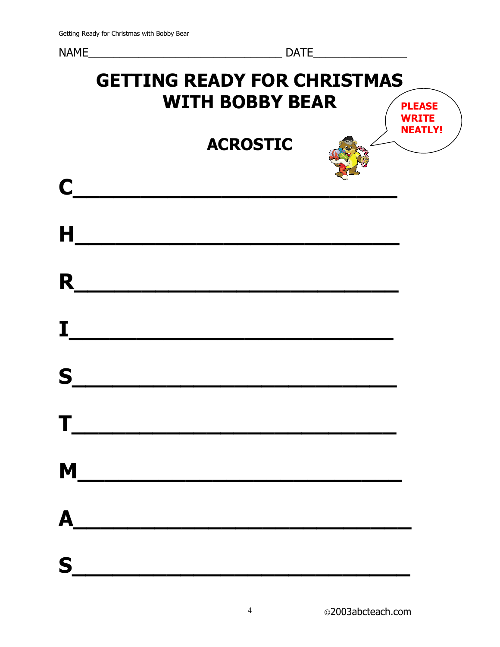# NAME\_\_\_\_\_\_\_\_\_\_\_\_\_\_\_\_\_\_\_\_\_\_\_\_\_\_\_\_\_\_\_ DATE\_\_\_\_\_\_\_\_\_\_\_\_\_\_\_ GETTING READY FOR CHRISTMAS WITH BOBBY BEAR ACROSTIC  $\mathsf{C}$  and the contract of  $\mathsf{C}$  and  $\mathsf{C}$  and  $\mathsf{C}$  and  $\mathsf{C}$  and  $\mathsf{C}$  and  $\mathsf{C}$  and  $\mathsf{C}$  and  $\mathsf{C}$  and  $\mathsf{C}$  and  $\mathsf{C}$  and  $\mathsf{C}$  and  $\mathsf{C}$  and  $\mathsf{C}$  and  $\mathsf{C}$  and  $\mathsf{C}$  a  $H$  , and the set of  $H$  , and the set of  $H$  , and the set of  $H$ PLEASE WRITE NEATLY!

| R |                                             |
|---|---------------------------------------------|
| I |                                             |
| S |                                             |
| Τ |                                             |
|   |                                             |
|   | $M_{\begin{array}{c}\n\hline\n\end{array}}$ |
| A |                                             |
| S |                                             |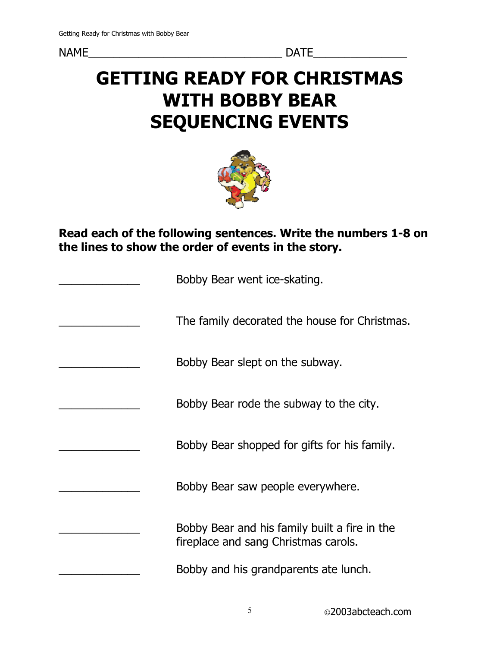# GETTING READY FOR CHRISTMAS WITH BOBBY BEAR SEQUENCING EVENTS



Read each of the following sentences. Write the numbers 1-8 on the lines to show the order of events in the story.

| Bobby Bear went ice-skating.                                                          |
|---------------------------------------------------------------------------------------|
| The family decorated the house for Christmas.                                         |
| Bobby Bear slept on the subway.                                                       |
| Bobby Bear rode the subway to the city.                                               |
| Bobby Bear shopped for gifts for his family.                                          |
| Bobby Bear saw people everywhere.                                                     |
| Bobby Bear and his family built a fire in the<br>fireplace and sang Christmas carols. |
| Bobby and his grandparents ate lunch.                                                 |